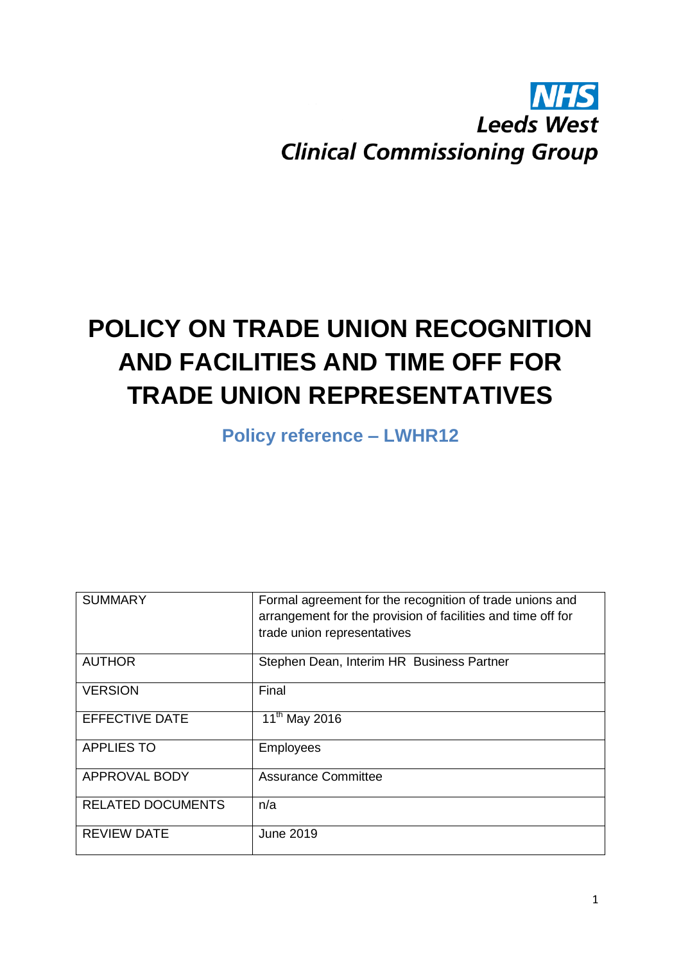## **NHS Leeds West Clinical Commissioning Group**

# **POLICY ON TRADE UNION RECOGNITION AND FACILITIES AND TIME OFF FOR TRADE UNION REPRESENTATIVES**

**Policy reference – LWHR12**

| <b>SUMMARY</b>           | Formal agreement for the recognition of trade unions and<br>arrangement for the provision of facilities and time off for<br>trade union representatives |
|--------------------------|---------------------------------------------------------------------------------------------------------------------------------------------------------|
| <b>AUTHOR</b>            | Stephen Dean, Interim HR Business Partner                                                                                                               |
| <b>VERSION</b>           | Final                                                                                                                                                   |
| <b>EFFECTIVE DATE</b>    | 11 <sup>th</sup> May 2016                                                                                                                               |
| <b>APPLIES TO</b>        | <b>Employees</b>                                                                                                                                        |
| <b>APPROVAL BODY</b>     | <b>Assurance Committee</b>                                                                                                                              |
| <b>RELATED DOCUMENTS</b> | n/a                                                                                                                                                     |
| <b>REVIEW DATE</b>       | <b>June 2019</b>                                                                                                                                        |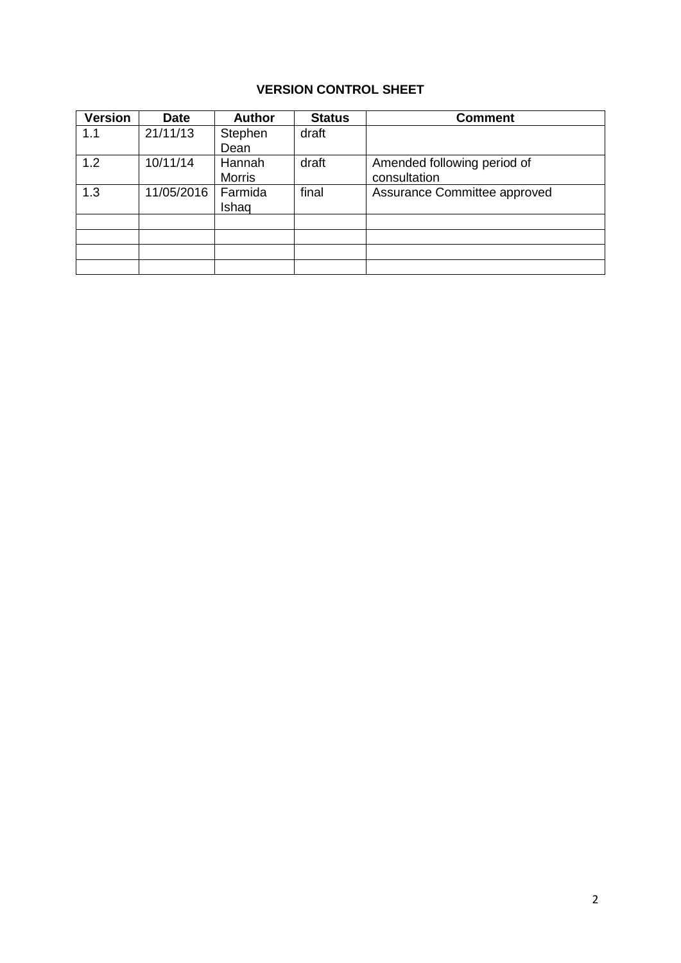## **VERSION CONTROL SHEET**

| <b>Version</b> | <b>Date</b> | <b>Author</b> | <b>Status</b> | <b>Comment</b>               |
|----------------|-------------|---------------|---------------|------------------------------|
| 1.1            | 21/11/13    | Stephen       | draft         |                              |
|                |             | Dean          |               |                              |
| 1.2            | 10/11/14    | Hannah        | draft         | Amended following period of  |
|                |             | <b>Morris</b> |               | consultation                 |
| 1.3            | 11/05/2016  | Farmida       | final         | Assurance Committee approved |
|                |             | Ishaq         |               |                              |
|                |             |               |               |                              |
|                |             |               |               |                              |
|                |             |               |               |                              |
|                |             |               |               |                              |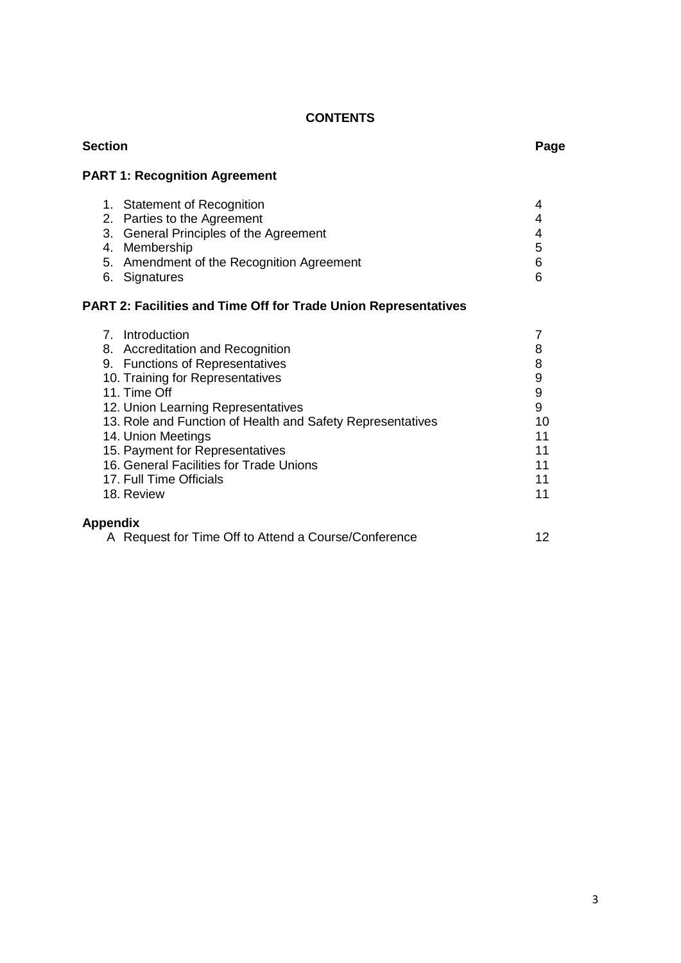## **CONTENTS**

| <b>Section</b>                                                                                                                                                                                                                                                                                                                                                                              |                                                                                              |
|---------------------------------------------------------------------------------------------------------------------------------------------------------------------------------------------------------------------------------------------------------------------------------------------------------------------------------------------------------------------------------------------|----------------------------------------------------------------------------------------------|
| <b>PART 1: Recognition Agreement</b>                                                                                                                                                                                                                                                                                                                                                        |                                                                                              |
| 1. Statement of Recognition<br>2. Parties to the Agreement<br>3. General Principles of the Agreement<br>4. Membership<br>5. Amendment of the Recognition Agreement<br>6. Signatures<br>PART 2: Facilities and Time Off for Trade Union Representatives                                                                                                                                      | 4<br>4<br>4<br>5<br>6<br>6                                                                   |
| 7. Introduction<br>8. Accreditation and Recognition<br>9. Functions of Representatives<br>10. Training for Representatives<br>11. Time Off<br>12. Union Learning Representatives<br>13. Role and Function of Health and Safety Representatives<br>14. Union Meetings<br>15. Payment for Representatives<br>16. General Facilities for Trade Unions<br>17. Full Time Officials<br>18. Review | 7<br>8<br>8<br>$\boldsymbol{9}$<br>$\boldsymbol{9}$<br>9<br>10<br>11<br>11<br>11<br>11<br>11 |
| Appendix<br>A Request for Time Off to Attend a Course/Conference                                                                                                                                                                                                                                                                                                                            | 12                                                                                           |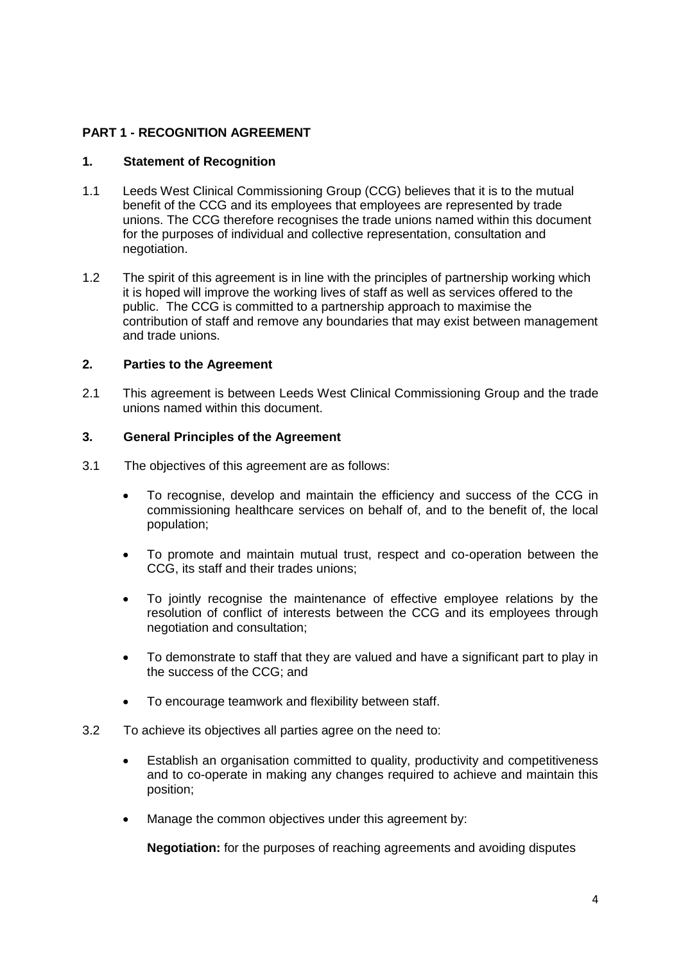#### **PART 1 - RECOGNITION AGREEMENT**

#### **1. Statement of Recognition**

- 1.1 Leeds West Clinical Commissioning Group (CCG) believes that it is to the mutual benefit of the CCG and its employees that employees are represented by trade unions. The CCG therefore recognises the trade unions named within this document for the purposes of individual and collective representation, consultation and negotiation.
- 1.2 The spirit of this agreement is in line with the principles of partnership working which it is hoped will improve the working lives of staff as well as services offered to the public. The CCG is committed to a partnership approach to maximise the contribution of staff and remove any boundaries that may exist between management and trade unions.

#### **2. Parties to the Agreement**

2.1 This agreement is between Leeds West Clinical Commissioning Group and the trade unions named within this document.

#### **3. General Principles of the Agreement**

- 3.1 The objectives of this agreement are as follows:
	- To recognise, develop and maintain the efficiency and success of the CCG in commissioning healthcare services on behalf of, and to the benefit of, the local population;
	- To promote and maintain mutual trust, respect and co-operation between the CCG, its staff and their trades unions;
	- To jointly recognise the maintenance of effective employee relations by the resolution of conflict of interests between the CCG and its employees through negotiation and consultation;
	- To demonstrate to staff that they are valued and have a significant part to play in the success of the CCG; and
	- To encourage teamwork and flexibility between staff.
- 3.2 To achieve its objectives all parties agree on the need to:
	- Establish an organisation committed to quality, productivity and competitiveness and to co-operate in making any changes required to achieve and maintain this position;
	- Manage the common objectives under this agreement by:

**Negotiation:** for the purposes of reaching agreements and avoiding disputes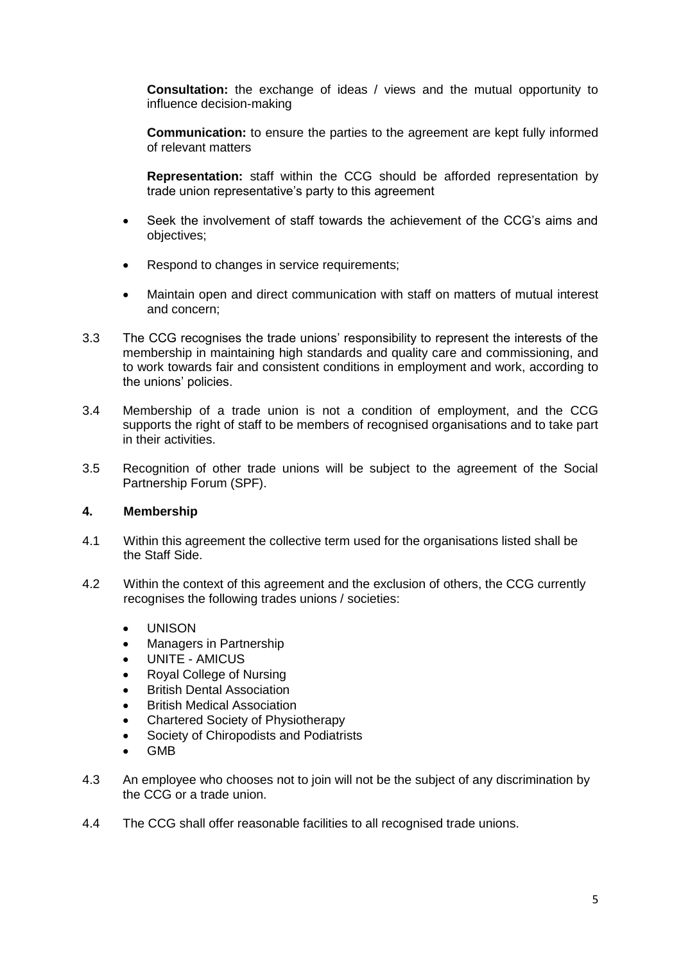**Consultation:** the exchange of ideas / views and the mutual opportunity to influence decision-making

**Communication:** to ensure the parties to the agreement are kept fully informed of relevant matters

**Representation:** staff within the CCG should be afforded representation by trade union representative's party to this agreement

- Seek the involvement of staff towards the achievement of the CCG's aims and objectives;
- Respond to changes in service requirements;
- Maintain open and direct communication with staff on matters of mutual interest and concern;
- 3.3 The CCG recognises the trade unions' responsibility to represent the interests of the membership in maintaining high standards and quality care and commissioning, and to work towards fair and consistent conditions in employment and work, according to the unions' policies.
- 3.4 Membership of a trade union is not a condition of employment, and the CCG supports the right of staff to be members of recognised organisations and to take part in their activities.
- 3.5 Recognition of other trade unions will be subject to the agreement of the Social Partnership Forum (SPF).

#### **4. Membership**

- 4.1 Within this agreement the collective term used for the organisations listed shall be the Staff Side.
- 4.2 Within the context of this agreement and the exclusion of others, the CCG currently recognises the following trades unions / societies:
	- UNISON
	- Managers in Partnership
	- UNITE AMICUS
	- Royal College of Nursing
	- British Dental Association
	- British Medical Association
	- Chartered Society of Physiotherapy
	- Society of Chiropodists and Podiatrists
	- GMB
- 4.3 An employee who chooses not to join will not be the subject of any discrimination by the CCG or a trade union.
- 4.4 The CCG shall offer reasonable facilities to all recognised trade unions.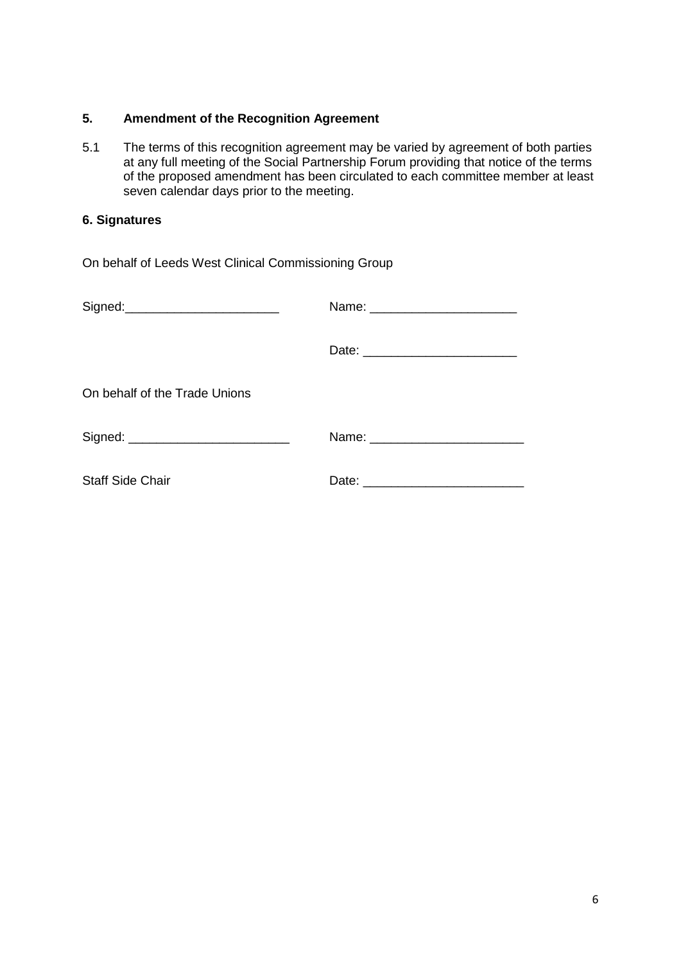#### **5. Amendment of the Recognition Agreement**

5.1 The terms of this recognition agreement may be varied by agreement of both parties at any full meeting of the Social Partnership Forum providing that notice of the terms of the proposed amendment has been circulated to each committee member at least seven calendar days prior to the meeting.

### **6. Signatures**

| On behalf of Leeds West Clinical Commissioning Group |                                 |  |
|------------------------------------------------------|---------------------------------|--|
| Signed:_________________________                     | Name: _________________________ |  |
|                                                      |                                 |  |
| On behalf of the Trade Unions                        |                                 |  |
| Signed: ____________________________                 |                                 |  |
| <b>Staff Side Chair</b>                              |                                 |  |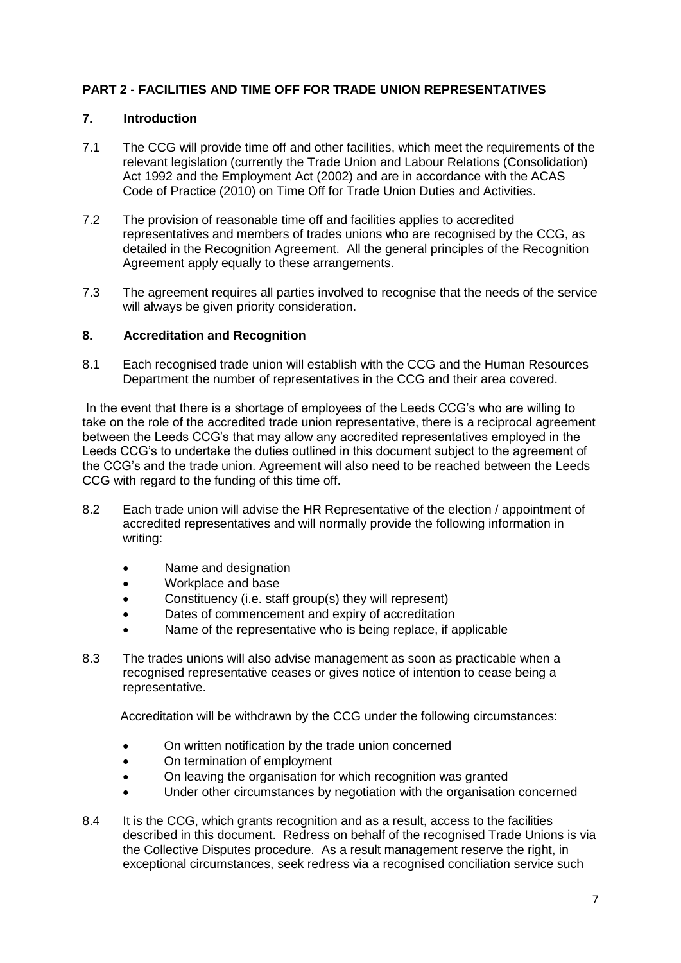#### **PART 2 - FACILITIES AND TIME OFF FOR TRADE UNION REPRESENTATIVES**

#### **7. Introduction**

- 7.1 The CCG will provide time off and other facilities, which meet the requirements of the relevant legislation (currently the Trade Union and Labour Relations (Consolidation) Act 1992 and the Employment Act (2002) and are in accordance with the ACAS Code of Practice (2010) on Time Off for Trade Union Duties and Activities.
- 7.2 The provision of reasonable time off and facilities applies to accredited representatives and members of trades unions who are recognised by the CCG, as detailed in the Recognition Agreement. All the general principles of the Recognition Agreement apply equally to these arrangements.
- 7.3 The agreement requires all parties involved to recognise that the needs of the service will always be given priority consideration.

#### **8. Accreditation and Recognition**

8.1 Each recognised trade union will establish with the CCG and the Human Resources Department the number of representatives in the CCG and their area covered.

In the event that there is a shortage of employees of the Leeds CCG's who are willing to take on the role of the accredited trade union representative, there is a reciprocal agreement between the Leeds CCG's that may allow any accredited representatives employed in the Leeds CCG's to undertake the duties outlined in this document subject to the agreement of the CCG's and the trade union. Agreement will also need to be reached between the Leeds CCG with regard to the funding of this time off.

- 8.2 Each trade union will advise the HR Representative of the election / appointment of accredited representatives and will normally provide the following information in writing:
	- Name and designation
	- Workplace and base
	- Constituency (i.e. staff group(s) they will represent)
	- Dates of commencement and expiry of accreditation
	- Name of the representative who is being replace, if applicable
- 8.3 The trades unions will also advise management as soon as practicable when a recognised representative ceases or gives notice of intention to cease being a representative.

Accreditation will be withdrawn by the CCG under the following circumstances:

- On written notification by the trade union concerned
- On termination of employment
- On leaving the organisation for which recognition was granted
- Under other circumstances by negotiation with the organisation concerned
- 8.4 It is the CCG, which grants recognition and as a result, access to the facilities described in this document. Redress on behalf of the recognised Trade Unions is via the Collective Disputes procedure. As a result management reserve the right, in exceptional circumstances, seek redress via a recognised conciliation service such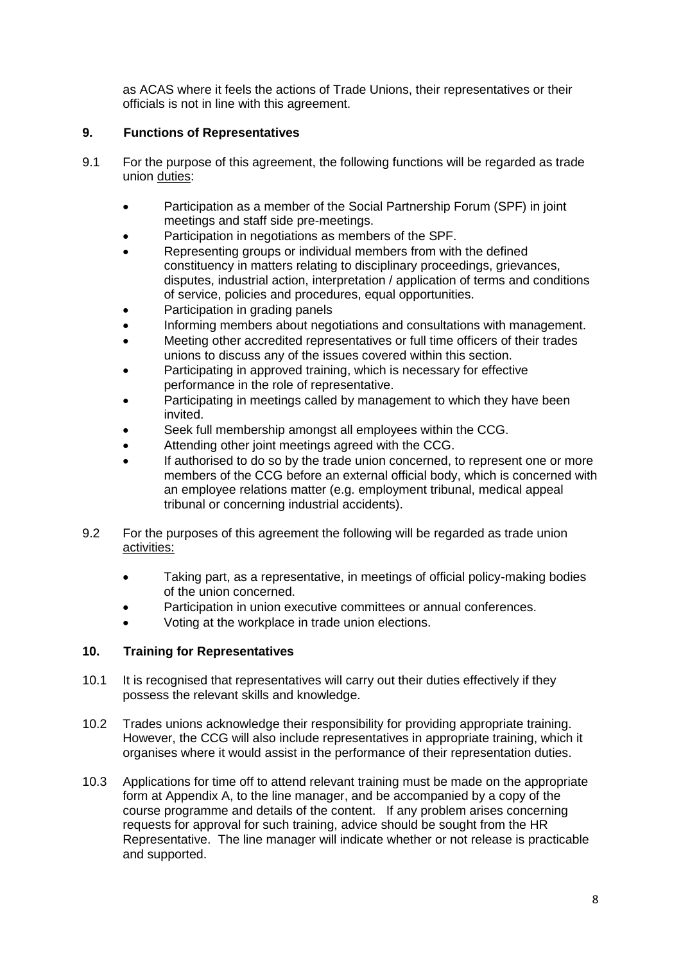as ACAS where it feels the actions of Trade Unions, their representatives or their officials is not in line with this agreement.

#### **9. Functions of Representatives**

- 9.1 For the purpose of this agreement, the following functions will be regarded as trade union duties:
	- Participation as a member of the Social Partnership Forum (SPF) in joint meetings and staff side pre-meetings.
	- Participation in negotiations as members of the SPF.
	- Representing groups or individual members from with the defined constituency in matters relating to disciplinary proceedings, grievances, disputes, industrial action, interpretation / application of terms and conditions of service, policies and procedures, equal opportunities.
	- Participation in grading panels
	- Informing members about negotiations and consultations with management.
	- Meeting other accredited representatives or full time officers of their trades unions to discuss any of the issues covered within this section.
	- Participating in approved training, which is necessary for effective performance in the role of representative.
	- Participating in meetings called by management to which they have been invited.
	- Seek full membership amongst all employees within the CCG.
	- Attending other joint meetings agreed with the CCG.
	- If authorised to do so by the trade union concerned, to represent one or more members of the CCG before an external official body, which is concerned with an employee relations matter (e.g. employment tribunal, medical appeal tribunal or concerning industrial accidents).
- 9.2 For the purposes of this agreement the following will be regarded as trade union activities:
	- Taking part, as a representative, in meetings of official policy-making bodies of the union concerned.
	- Participation in union executive committees or annual conferences.
	- Voting at the workplace in trade union elections.

#### **10. Training for Representatives**

- 10.1 It is recognised that representatives will carry out their duties effectively if they possess the relevant skills and knowledge.
- 10.2 Trades unions acknowledge their responsibility for providing appropriate training. However, the CCG will also include representatives in appropriate training, which it organises where it would assist in the performance of their representation duties.
- 10.3 Applications for time off to attend relevant training must be made on the appropriate form at Appendix A, to the line manager, and be accompanied by a copy of the course programme and details of the content. If any problem arises concerning requests for approval for such training, advice should be sought from the HR Representative. The line manager will indicate whether or not release is practicable and supported.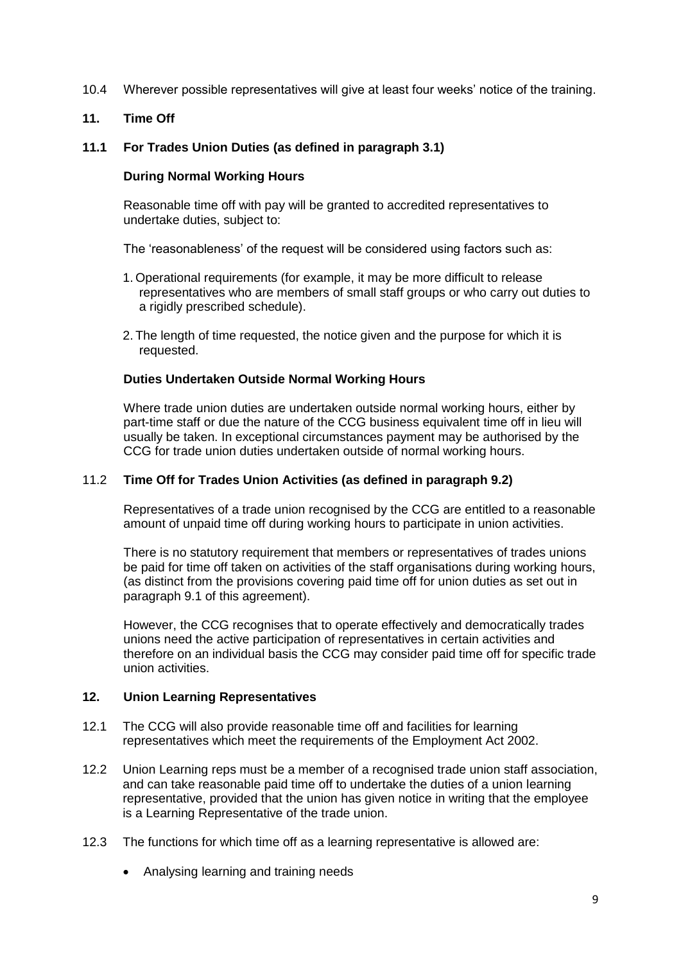10.4 Wherever possible representatives will give at least four weeks' notice of the training.

#### **11. Time Off**

#### **11.1 For Trades Union Duties (as defined in paragraph 3.1)**

#### **During Normal Working Hours**

Reasonable time off with pay will be granted to accredited representatives to undertake duties, subject to:

The 'reasonableness' of the request will be considered using factors such as:

- 1. Operational requirements (for example, it may be more difficult to release representatives who are members of small staff groups or who carry out duties to a rigidly prescribed schedule).
- 2. The length of time requested, the notice given and the purpose for which it is requested.

#### **Duties Undertaken Outside Normal Working Hours**

Where trade union duties are undertaken outside normal working hours, either by part-time staff or due the nature of the CCG business equivalent time off in lieu will usually be taken. In exceptional circumstances payment may be authorised by the CCG for trade union duties undertaken outside of normal working hours.

#### 11.2 **Time Off for Trades Union Activities (as defined in paragraph 9.2)**

Representatives of a trade union recognised by the CCG are entitled to a reasonable amount of unpaid time off during working hours to participate in union activities.

There is no statutory requirement that members or representatives of trades unions be paid for time off taken on activities of the staff organisations during working hours, (as distinct from the provisions covering paid time off for union duties as set out in paragraph 9.1 of this agreement).

However, the CCG recognises that to operate effectively and democratically trades unions need the active participation of representatives in certain activities and therefore on an individual basis the CCG may consider paid time off for specific trade union activities.

#### **12. Union Learning Representatives**

- 12.1 The CCG will also provide reasonable time off and facilities for learning representatives which meet the requirements of the Employment Act 2002.
- 12.2 Union Learning reps must be a member of a recognised trade union staff association, and can take reasonable paid time off to undertake the duties of a union learning representative, provided that the union has given notice in writing that the employee is a Learning Representative of the trade union.
- 12.3 The functions for which time off as a learning representative is allowed are:
	- Analysing learning and training needs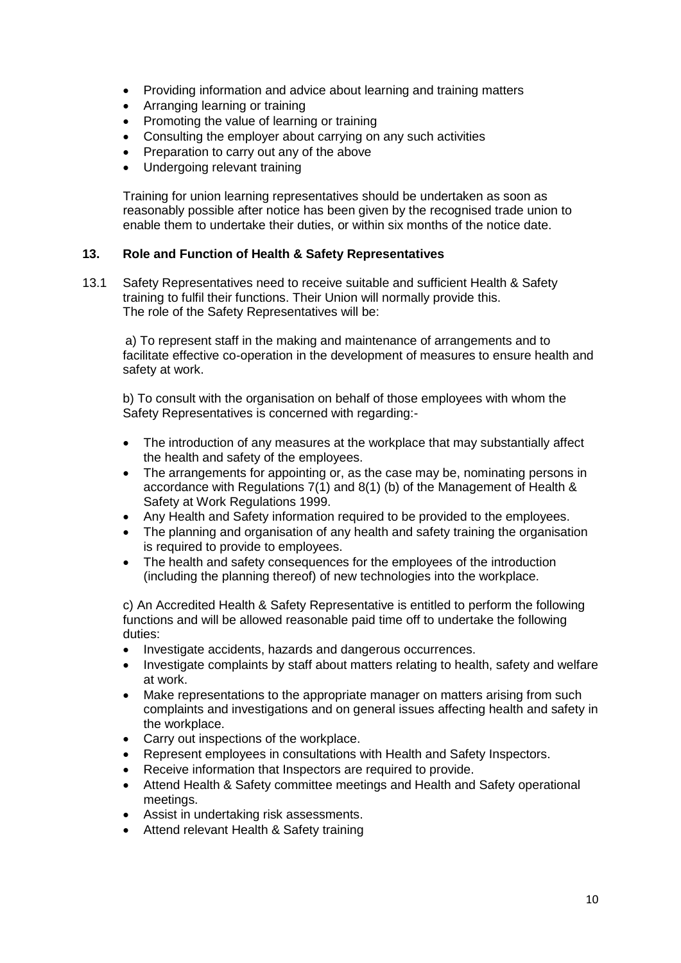- Providing information and advice about learning and training matters
- Arranging learning or training
- Promoting the value of learning or training
- Consulting the employer about carrying on any such activities
- Preparation to carry out any of the above
- Undergoing relevant training

Training for union learning representatives should be undertaken as soon as reasonably possible after notice has been given by the recognised trade union to enable them to undertake their duties, or within six months of the notice date.

#### **13. Role and Function of Health & Safety Representatives**

13.1 Safety Representatives need to receive suitable and sufficient Health & Safety training to fulfil their functions. Their Union will normally provide this. The role of the Safety Representatives will be:

a) To represent staff in the making and maintenance of arrangements and to facilitate effective co-operation in the development of measures to ensure health and safety at work.

b) To consult with the organisation on behalf of those employees with whom the Safety Representatives is concerned with regarding:-

- The introduction of any measures at the workplace that may substantially affect the health and safety of the employees.
- The arrangements for appointing or, as the case may be, nominating persons in accordance with Regulations 7(1) and 8(1) (b) of the Management of Health & Safety at Work Regulations 1999.
- Any Health and Safety information required to be provided to the employees.
- The planning and organisation of any health and safety training the organisation is required to provide to employees.
- The health and safety consequences for the employees of the introduction (including the planning thereof) of new technologies into the workplace.

c) An Accredited Health & Safety Representative is entitled to perform the following functions and will be allowed reasonable paid time off to undertake the following duties:

- Investigate accidents, hazards and dangerous occurrences.
- Investigate complaints by staff about matters relating to health, safety and welfare at work.
- Make representations to the appropriate manager on matters arising from such complaints and investigations and on general issues affecting health and safety in the workplace.
- Carry out inspections of the workplace.
- Represent employees in consultations with Health and Safety Inspectors.
- Receive information that Inspectors are required to provide.
- Attend Health & Safety committee meetings and Health and Safety operational meetings.
- Assist in undertaking risk assessments.
- Attend relevant Health & Safety training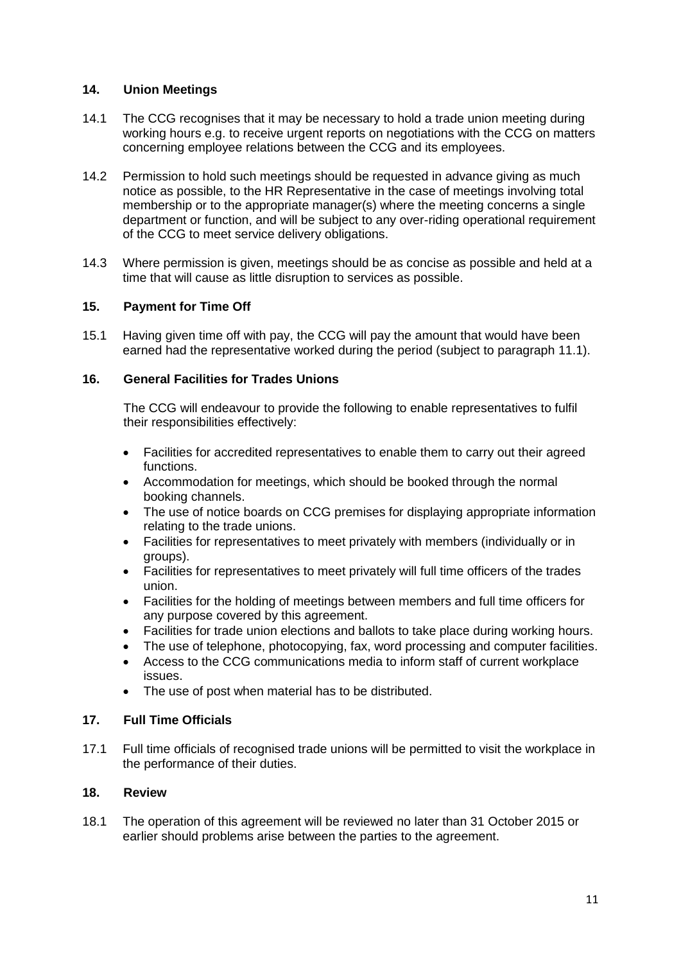#### **14. Union Meetings**

- 14.1 The CCG recognises that it may be necessary to hold a trade union meeting during working hours e.g. to receive urgent reports on negotiations with the CCG on matters concerning employee relations between the CCG and its employees.
- 14.2 Permission to hold such meetings should be requested in advance giving as much notice as possible, to the HR Representative in the case of meetings involving total membership or to the appropriate manager(s) where the meeting concerns a single department or function, and will be subject to any over-riding operational requirement of the CCG to meet service delivery obligations.
- 14.3 Where permission is given, meetings should be as concise as possible and held at a time that will cause as little disruption to services as possible.

#### **15. Payment for Time Off**

15.1 Having given time off with pay, the CCG will pay the amount that would have been earned had the representative worked during the period (subject to paragraph 11.1).

#### **16. General Facilities for Trades Unions**

The CCG will endeavour to provide the following to enable representatives to fulfil their responsibilities effectively:

- Facilities for accredited representatives to enable them to carry out their agreed functions.
- Accommodation for meetings, which should be booked through the normal booking channels.
- The use of notice boards on CCG premises for displaying appropriate information relating to the trade unions.
- Facilities for representatives to meet privately with members (individually or in groups).
- Facilities for representatives to meet privately will full time officers of the trades union.
- Facilities for the holding of meetings between members and full time officers for any purpose covered by this agreement.
- Facilities for trade union elections and ballots to take place during working hours.
- The use of telephone, photocopying, fax, word processing and computer facilities.
- Access to the CCG communications media to inform staff of current workplace issues.
- The use of post when material has to be distributed.

#### **17. Full Time Officials**

17.1 Full time officials of recognised trade unions will be permitted to visit the workplace in the performance of their duties.

#### **18. Review**

18.1 The operation of this agreement will be reviewed no later than 31 October 2015 or earlier should problems arise between the parties to the agreement.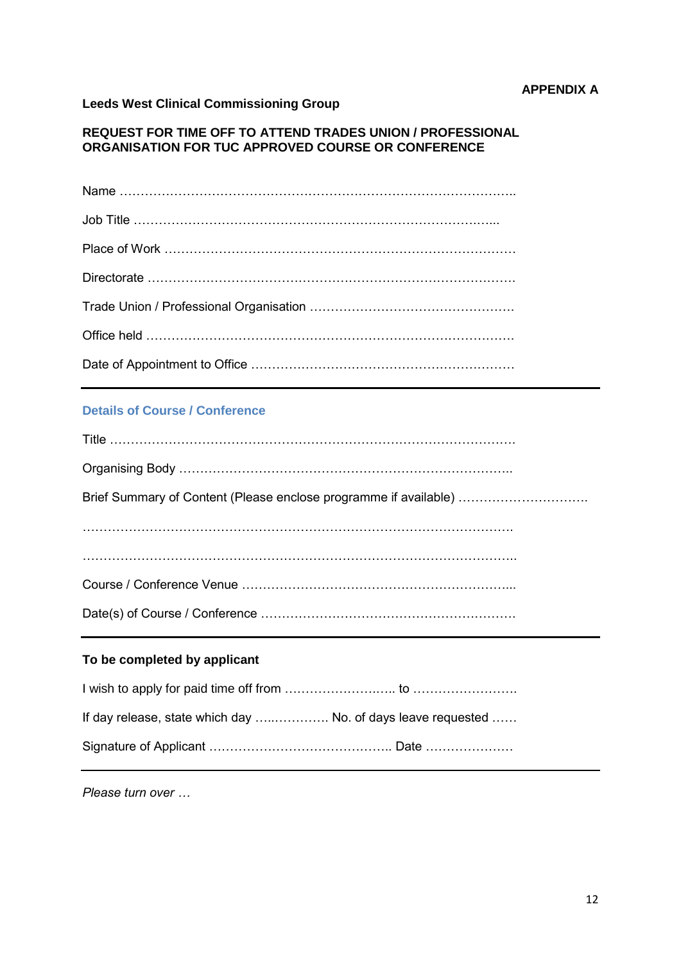## **Leeds West Clinical Commissioning Group**

#### **REQUEST FOR TIME OFF TO ATTEND TRADES UNION / PROFESSIONAL ORGANISATION FOR TUC APPROVED COURSE OR CONFERENCE**

#### **Details of Course / Conference**

| Brief Summary of Content (Please enclose programme if available) |
|------------------------------------------------------------------|
|                                                                  |
|                                                                  |
|                                                                  |
|                                                                  |
|                                                                  |

#### **To be completed by applicant**

| If day release, state which day  No. of days leave requested |  |
|--------------------------------------------------------------|--|
|                                                              |  |

*Please turn over …*